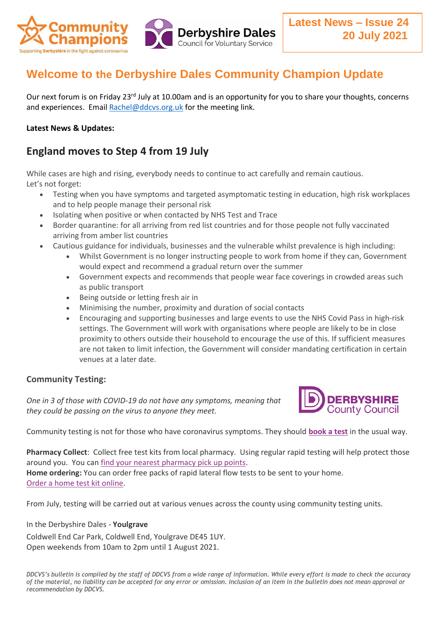

# **Welcome to the Derbyshire Dales Community Champion Update**

Our next forum is on Friday 23<sup>rd</sup> July at 10.00am and is an opportunity for you to share your thoughts, concerns and experiences. Email [Rachel@ddcvs.org.uk](mailto:Rachel@ddcvs.org.uk) for the meeting link.

### **Latest News & Updates:**

## **England moves to Step 4 from 19 July**

While cases are high and rising, everybody needs to continue to act carefully and remain cautious. Let's not forget:

- Testing when you have symptoms and targeted asymptomatic testing in education, high risk workplaces and to help people manage their personal risk
- Isolating when positive or when contacted by NHS Test and Trace
- Border quarantine: for all arriving from red list countries and for those people not fully vaccinated arriving from amber list countries
- Cautious guidance for individuals, businesses and the vulnerable whilst prevalence is high including:
	- Whilst Government is no longer instructing people to work from home if they can, Government would expect and recommend a gradual return over the summer
	- Government expects and recommends that people wear face coverings in crowded areas such as public transport
	- Being outside or letting fresh air in
	- Minimising the number, proximity and duration of social contacts
	- Encouraging and supporting businesses and large events to use the NHS Covid Pass in high-risk settings. The Government will work with organisations where people are likely to be in close proximity to others outside their household to encourage the use of this. If sufficient measures are not taken to limit infection, the Government will consider mandating certification in certain venues at a later date.

### **Community Testing:**

*One in 3 of those with COVID-19 do not have any symptoms, meaning that they could be passing on the virus to anyone they meet.* 



Community testing is not for those who have coronavirus symptoms. They should **[book a test](https://www.gov.uk/get-coronavirus-test)** in the usual way.

**Pharmacy Collect**: Collect free test kits from local pharmacy. Using regular rapid testing will help protect those around you. You can [find your nearest pharmacy pick up points.](https://maps.test-and-trace.nhs.uk/)

**Home ordering:** You can order free packs of rapid lateral flow tests to be sent to your home. [Order a home test kit online.](https://www.gov.uk/order-coronavirus-rapid-lateral-flow-tests)

From July, testing will be carried out at various venues across the county using community testing units.

#### In the Derbyshire Dales - **Youlgrave**

Coldwell End Car Park, Coldwell End, Youlgrave DE45 1UY. Open weekends from 10am to 2pm until 1 August 2021.